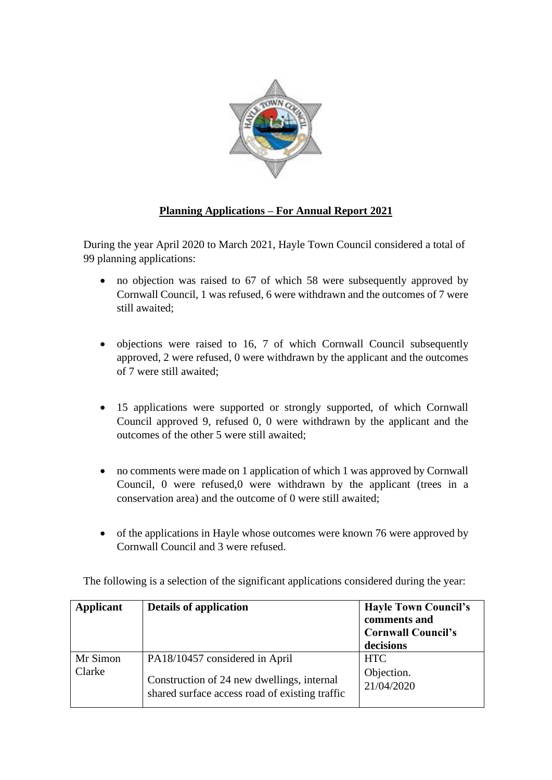

## **Planning Applications – For Annual Report 2021**

During the year April 2020 to March 2021, Hayle Town Council considered a total of 99 planning applications:

- no objection was raised to 67 of which 58 were subsequently approved by Cornwall Council, 1 was refused, 6 were withdrawn and the outcomes of 7 were still awaited;
- objections were raised to 16, 7 of which Cornwall Council subsequently approved, 2 were refused, 0 were withdrawn by the applicant and the outcomes of 7 were still awaited;
- 15 applications were supported or strongly supported, of which Cornwall Council approved 9, refused 0, 0 were withdrawn by the applicant and the outcomes of the other 5 were still awaited;
- no comments were made on 1 application of which 1 was approved by Cornwall Council, 0 were refused,0 were withdrawn by the applicant (trees in a conservation area) and the outcome of 0 were still awaited;
- of the applications in Hayle whose outcomes were known 76 were approved by Cornwall Council and 3 were refused.

| <b>Applicant</b>   | <b>Details of application</b>                                                                                                  | <b>Hayle Town Council's</b><br>comments and<br><b>Cornwall Council's</b><br>decisions |
|--------------------|--------------------------------------------------------------------------------------------------------------------------------|---------------------------------------------------------------------------------------|
| Mr Simon<br>Clarke | PA18/10457 considered in April<br>Construction of 24 new dwellings, internal<br>shared surface access road of existing traffic | <b>HTC</b><br>Objection.<br>21/04/2020                                                |

The following is a selection of the significant applications considered during the year: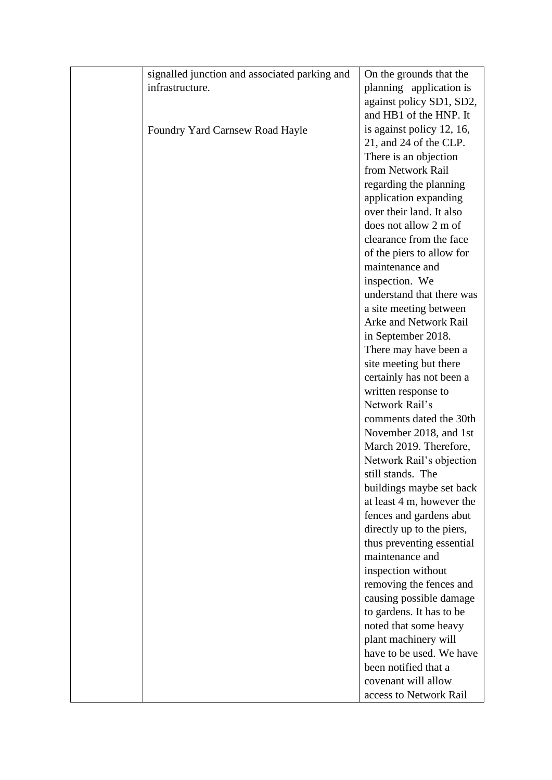| signalled junction and associated parking and | On the grounds that the                          |
|-----------------------------------------------|--------------------------------------------------|
| infrastructure.                               | planning application is                          |
|                                               | against policy SD1, SD2,                         |
|                                               | and HB1 of the HNP. It                           |
| Foundry Yard Carnsew Road Hayle               | is against policy 12, 16,                        |
|                                               | 21, and 24 of the CLP.                           |
|                                               | There is an objection                            |
|                                               | from Network Rail                                |
|                                               | regarding the planning                           |
|                                               | application expanding                            |
|                                               | over their land. It also                         |
|                                               | does not allow 2 m of                            |
|                                               | clearance from the face                          |
|                                               | of the piers to allow for                        |
|                                               | maintenance and                                  |
|                                               | inspection. We                                   |
|                                               | understand that there was                        |
|                                               | a site meeting between                           |
|                                               | Arke and Network Rail                            |
|                                               | in September 2018.                               |
|                                               | There may have been a                            |
|                                               | site meeting but there                           |
|                                               | certainly has not been a                         |
|                                               | written response to                              |
|                                               | Network Rail's                                   |
|                                               | comments dated the 30th                          |
|                                               | November 2018, and 1st                           |
|                                               | March 2019. Therefore,                           |
|                                               | Network Rail's objection                         |
|                                               | still stands. The                                |
|                                               | buildings maybe set back                         |
|                                               | at least 4 m, however the                        |
|                                               | fences and gardens abut                          |
|                                               | directly up to the piers,                        |
|                                               | thus preventing essential                        |
|                                               | maintenance and                                  |
|                                               | inspection without                               |
|                                               | removing the fences and                          |
|                                               | causing possible damage                          |
|                                               | to gardens. It has to be                         |
|                                               | noted that some heavy                            |
|                                               |                                                  |
|                                               | plant machinery will<br>have to be used. We have |
|                                               | been notified that a                             |
|                                               |                                                  |
|                                               | covenant will allow                              |
|                                               | access to Network Rail                           |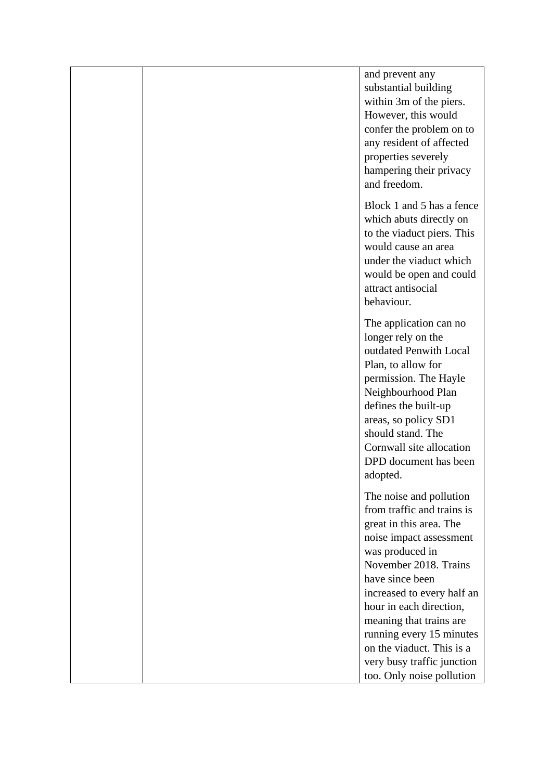|  | and prevent any<br>substantial building<br>within 3m of the piers.<br>However, this would<br>confer the problem on to<br>any resident of affected<br>properties severely<br>hampering their privacy<br>and freedom.                                                                                                     |
|--|-------------------------------------------------------------------------------------------------------------------------------------------------------------------------------------------------------------------------------------------------------------------------------------------------------------------------|
|  | Block 1 and 5 has a fence<br>which abuts directly on<br>to the viaduct piers. This<br>would cause an area<br>under the viaduct which<br>would be open and could<br>attract antisocial<br>behaviour.                                                                                                                     |
|  | The application can no<br>longer rely on the<br>outdated Penwith Local<br>Plan, to allow for<br>permission. The Hayle<br>Neighbourhood Plan<br>defines the built-up<br>areas, so policy SD1<br>should stand. The<br>Cornwall site allocation<br>DPD document has been<br>adopted.                                       |
|  | The noise and pollution<br>from traffic and trains is<br>great in this area. The<br>noise impact assessment<br>was produced in<br>November 2018. Trains<br>have since been<br>increased to every half an<br>hour in each direction,<br>meaning that trains are<br>running every 15 minutes<br>on the viaduct. This is a |
|  | very busy traffic junction<br>too. Only noise pollution                                                                                                                                                                                                                                                                 |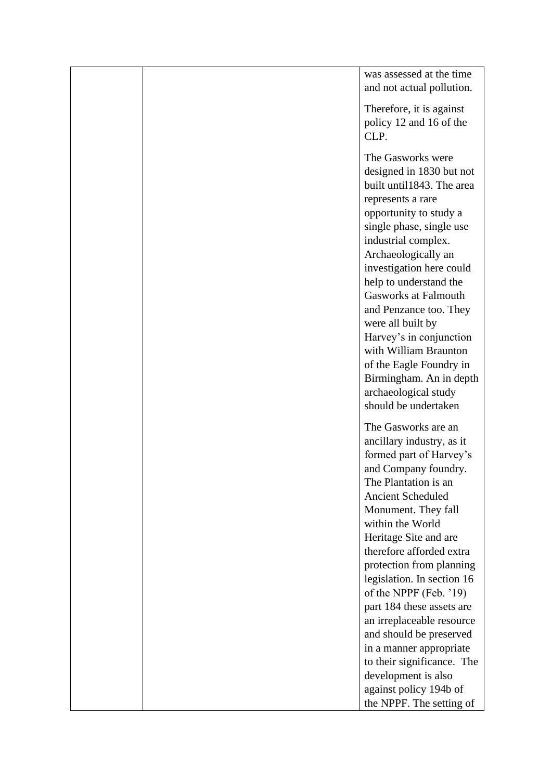|  | was assessed at the time<br>and not actual pollution. |
|--|-------------------------------------------------------|
|  |                                                       |
|  | Therefore, it is against<br>policy 12 and 16 of the   |
|  | CLP.                                                  |
|  | The Gasworks were                                     |
|  | designed in 1830 but not                              |
|  | built until1843. The area<br>represents a rare        |
|  | opportunity to study a                                |
|  | single phase, single use                              |
|  | industrial complex.                                   |
|  | Archaeologically an                                   |
|  | investigation here could<br>help to understand the    |
|  | <b>Gasworks at Falmouth</b>                           |
|  | and Penzance too. They                                |
|  | were all built by                                     |
|  | Harvey's in conjunction<br>with William Braunton      |
|  | of the Eagle Foundry in                               |
|  | Birmingham. An in depth                               |
|  | archaeological study                                  |
|  | should be undertaken                                  |
|  | The Gasworks are an                                   |
|  | ancillary industry, as it                             |
|  | formed part of Harvey's<br>and Company foundry.       |
|  | The Plantation is an                                  |
|  | <b>Ancient Scheduled</b>                              |
|  | Monument. They fall                                   |
|  | within the World                                      |
|  | Heritage Site and are<br>therefore afforded extra     |
|  | protection from planning                              |
|  | legislation. In section 16                            |
|  | of the NPPF (Feb. '19)                                |
|  | part 184 these assets are                             |
|  | an irreplaceable resource<br>and should be preserved  |
|  | in a manner appropriate                               |
|  | to their significance. The                            |
|  | development is also                                   |
|  | against policy 194b of                                |
|  | the NPPF. The setting of                              |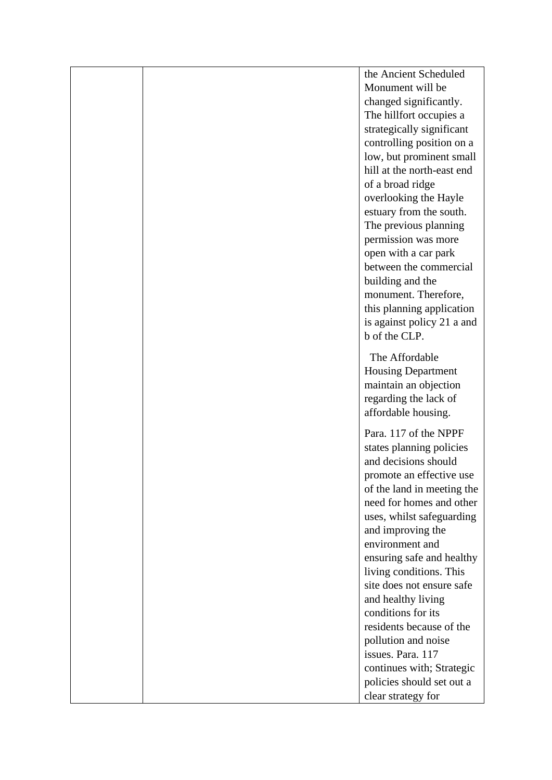|  | the Ancient Scheduled                                |
|--|------------------------------------------------------|
|  | Monument will be                                     |
|  | changed significantly.                               |
|  | The hillfort occupies a                              |
|  | strategically significant                            |
|  | controlling position on a                            |
|  | low, but prominent small                             |
|  | hill at the north-east end                           |
|  | of a broad ridge                                     |
|  | overlooking the Hayle                                |
|  | estuary from the south.                              |
|  | The previous planning                                |
|  | permission was more                                  |
|  | open with a car park<br>between the commercial       |
|  |                                                      |
|  | building and the<br>monument. Therefore,             |
|  | this planning application                            |
|  | is against policy 21 a and                           |
|  | b of the CLP.                                        |
|  |                                                      |
|  | The Affordable                                       |
|  | <b>Housing Department</b>                            |
|  | maintain an objection                                |
|  | regarding the lack of                                |
|  | affordable housing.                                  |
|  | Para. 117 of the NPPF                                |
|  | states planning policies                             |
|  | and decisions should                                 |
|  | promote an effective use                             |
|  | of the land in meeting the                           |
|  | need for homes and other                             |
|  | uses, whilst safeguarding                            |
|  | and improving the                                    |
|  | environment and                                      |
|  | ensuring safe and healthy<br>living conditions. This |
|  | site does not ensure safe                            |
|  | and healthy living                                   |
|  | conditions for its                                   |
|  | residents because of the                             |
|  | pollution and noise                                  |
|  | issues. Para. 117                                    |
|  | continues with; Strategic                            |
|  | policies should set out a                            |
|  | clear strategy for                                   |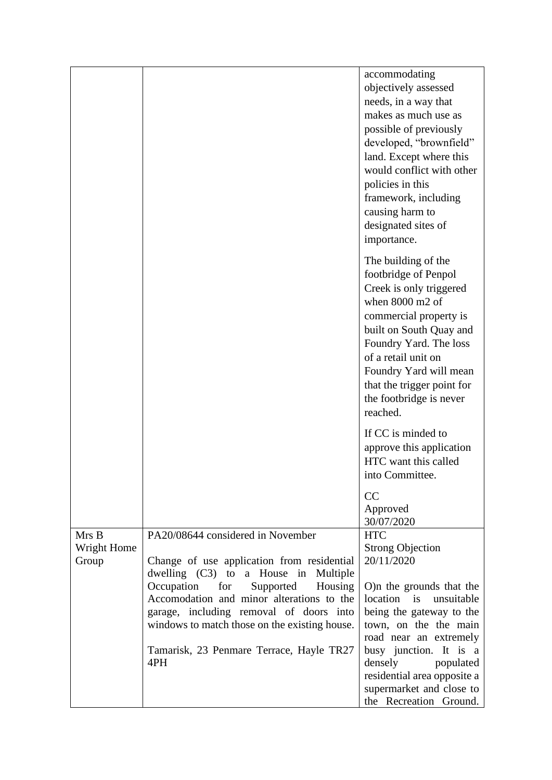|             |                                                                                   | accommodating                              |
|-------------|-----------------------------------------------------------------------------------|--------------------------------------------|
|             |                                                                                   | objectively assessed                       |
|             |                                                                                   | needs, in a way that                       |
|             |                                                                                   | makes as much use as                       |
|             |                                                                                   | possible of previously                     |
|             |                                                                                   | developed, "brownfield"                    |
|             |                                                                                   | land. Except where this                    |
|             |                                                                                   | would conflict with other                  |
|             |                                                                                   | policies in this                           |
|             |                                                                                   | framework, including                       |
|             |                                                                                   | causing harm to                            |
|             |                                                                                   | designated sites of                        |
|             |                                                                                   | importance.                                |
|             |                                                                                   |                                            |
|             |                                                                                   | The building of the                        |
|             |                                                                                   | footbridge of Penpol                       |
|             |                                                                                   | Creek is only triggered<br>when 8000 m2 of |
|             |                                                                                   | commercial property is                     |
|             |                                                                                   | built on South Quay and                    |
|             |                                                                                   | Foundry Yard. The loss                     |
|             |                                                                                   | of a retail unit on                        |
|             |                                                                                   | Foundry Yard will mean                     |
|             |                                                                                   | that the trigger point for                 |
|             |                                                                                   | the footbridge is never                    |
|             |                                                                                   | reached.                                   |
|             |                                                                                   | If CC is minded to                         |
|             |                                                                                   | approve this application                   |
|             |                                                                                   | HTC want this called                       |
|             |                                                                                   | into Committee.                            |
|             |                                                                                   | CC                                         |
|             |                                                                                   | Approved                                   |
|             |                                                                                   | 30/07/2020                                 |
| Mrs B       | PA20/08644 considered in November                                                 | <b>HTC</b>                                 |
| Wright Home |                                                                                   | <b>Strong Objection</b>                    |
| Group       | Change of use application from residential                                        | 20/11/2020                                 |
|             | dwelling (C3) to a House in Multiple<br>Occupation<br>for<br>Supported<br>Housing | O)n the grounds that the                   |
|             | Accomodation and minor alterations to the                                         | location is<br>unsuitable                  |
|             | garage, including removal of doors into                                           | being the gateway to the                   |
|             | windows to match those on the existing house.                                     | town, on the the main                      |
|             |                                                                                   | road near an extremely                     |
|             | Tamarisk, 23 Penmare Terrace, Hayle TR27                                          | busy junction. It is a                     |
|             | 4PH                                                                               | densely<br>populated                       |
|             |                                                                                   | residential area opposite a                |
|             |                                                                                   | supermarket and close to                   |
|             |                                                                                   | the Recreation Ground.                     |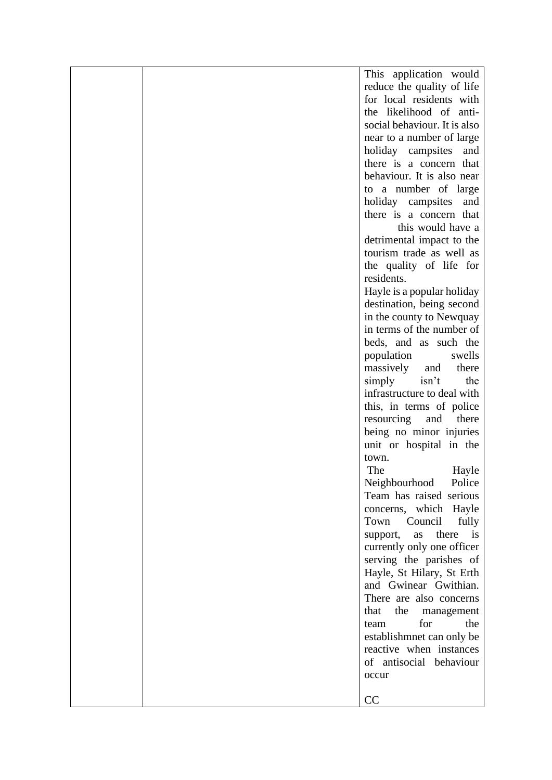| reduce the quality of life<br>for local residents with<br>the likelihood of anti-<br>social behaviour. It is also<br>near to a number of large<br>holiday campsites and<br>there is a concern that<br>behaviour. It is also near<br>to a number of large<br>holiday campsites and<br>there is a concern that<br>this would have a<br>detrimental impact to the<br>tourism trade as well as<br>the quality of life for<br>residents.<br>Hayle is a popular holiday<br>destination, being second<br>in the county to Newquay<br>in terms of the number of<br>beds, and as such the<br>population<br>swells<br>massively and<br>there<br>simply<br>isn't<br>the<br>infrastructure to deal with<br>this, in terms of police<br>resourcing<br>and<br>there<br>being no minor injuries<br>unit or hospital in the<br>town.<br>The<br>Hayle<br>Neighbourhood<br>Police<br>Team has raised serious<br>concerns, which Hayle<br>Town<br>Council<br>fully<br>there is<br>support,<br>as<br>currently only one officer<br>serving the parishes of<br>Hayle, St Hilary, St Erth<br>and Gwinear Gwithian. |  | This application would  |
|----------------------------------------------------------------------------------------------------------------------------------------------------------------------------------------------------------------------------------------------------------------------------------------------------------------------------------------------------------------------------------------------------------------------------------------------------------------------------------------------------------------------------------------------------------------------------------------------------------------------------------------------------------------------------------------------------------------------------------------------------------------------------------------------------------------------------------------------------------------------------------------------------------------------------------------------------------------------------------------------------------------------------------------------------------------------------------------------|--|-------------------------|
|                                                                                                                                                                                                                                                                                                                                                                                                                                                                                                                                                                                                                                                                                                                                                                                                                                                                                                                                                                                                                                                                                              |  |                         |
|                                                                                                                                                                                                                                                                                                                                                                                                                                                                                                                                                                                                                                                                                                                                                                                                                                                                                                                                                                                                                                                                                              |  |                         |
|                                                                                                                                                                                                                                                                                                                                                                                                                                                                                                                                                                                                                                                                                                                                                                                                                                                                                                                                                                                                                                                                                              |  |                         |
|                                                                                                                                                                                                                                                                                                                                                                                                                                                                                                                                                                                                                                                                                                                                                                                                                                                                                                                                                                                                                                                                                              |  |                         |
|                                                                                                                                                                                                                                                                                                                                                                                                                                                                                                                                                                                                                                                                                                                                                                                                                                                                                                                                                                                                                                                                                              |  |                         |
|                                                                                                                                                                                                                                                                                                                                                                                                                                                                                                                                                                                                                                                                                                                                                                                                                                                                                                                                                                                                                                                                                              |  |                         |
|                                                                                                                                                                                                                                                                                                                                                                                                                                                                                                                                                                                                                                                                                                                                                                                                                                                                                                                                                                                                                                                                                              |  |                         |
|                                                                                                                                                                                                                                                                                                                                                                                                                                                                                                                                                                                                                                                                                                                                                                                                                                                                                                                                                                                                                                                                                              |  |                         |
|                                                                                                                                                                                                                                                                                                                                                                                                                                                                                                                                                                                                                                                                                                                                                                                                                                                                                                                                                                                                                                                                                              |  |                         |
|                                                                                                                                                                                                                                                                                                                                                                                                                                                                                                                                                                                                                                                                                                                                                                                                                                                                                                                                                                                                                                                                                              |  |                         |
|                                                                                                                                                                                                                                                                                                                                                                                                                                                                                                                                                                                                                                                                                                                                                                                                                                                                                                                                                                                                                                                                                              |  |                         |
|                                                                                                                                                                                                                                                                                                                                                                                                                                                                                                                                                                                                                                                                                                                                                                                                                                                                                                                                                                                                                                                                                              |  |                         |
|                                                                                                                                                                                                                                                                                                                                                                                                                                                                                                                                                                                                                                                                                                                                                                                                                                                                                                                                                                                                                                                                                              |  |                         |
|                                                                                                                                                                                                                                                                                                                                                                                                                                                                                                                                                                                                                                                                                                                                                                                                                                                                                                                                                                                                                                                                                              |  |                         |
|                                                                                                                                                                                                                                                                                                                                                                                                                                                                                                                                                                                                                                                                                                                                                                                                                                                                                                                                                                                                                                                                                              |  |                         |
|                                                                                                                                                                                                                                                                                                                                                                                                                                                                                                                                                                                                                                                                                                                                                                                                                                                                                                                                                                                                                                                                                              |  |                         |
|                                                                                                                                                                                                                                                                                                                                                                                                                                                                                                                                                                                                                                                                                                                                                                                                                                                                                                                                                                                                                                                                                              |  |                         |
|                                                                                                                                                                                                                                                                                                                                                                                                                                                                                                                                                                                                                                                                                                                                                                                                                                                                                                                                                                                                                                                                                              |  |                         |
|                                                                                                                                                                                                                                                                                                                                                                                                                                                                                                                                                                                                                                                                                                                                                                                                                                                                                                                                                                                                                                                                                              |  |                         |
|                                                                                                                                                                                                                                                                                                                                                                                                                                                                                                                                                                                                                                                                                                                                                                                                                                                                                                                                                                                                                                                                                              |  |                         |
|                                                                                                                                                                                                                                                                                                                                                                                                                                                                                                                                                                                                                                                                                                                                                                                                                                                                                                                                                                                                                                                                                              |  |                         |
|                                                                                                                                                                                                                                                                                                                                                                                                                                                                                                                                                                                                                                                                                                                                                                                                                                                                                                                                                                                                                                                                                              |  |                         |
|                                                                                                                                                                                                                                                                                                                                                                                                                                                                                                                                                                                                                                                                                                                                                                                                                                                                                                                                                                                                                                                                                              |  |                         |
|                                                                                                                                                                                                                                                                                                                                                                                                                                                                                                                                                                                                                                                                                                                                                                                                                                                                                                                                                                                                                                                                                              |  |                         |
|                                                                                                                                                                                                                                                                                                                                                                                                                                                                                                                                                                                                                                                                                                                                                                                                                                                                                                                                                                                                                                                                                              |  |                         |
|                                                                                                                                                                                                                                                                                                                                                                                                                                                                                                                                                                                                                                                                                                                                                                                                                                                                                                                                                                                                                                                                                              |  |                         |
|                                                                                                                                                                                                                                                                                                                                                                                                                                                                                                                                                                                                                                                                                                                                                                                                                                                                                                                                                                                                                                                                                              |  |                         |
|                                                                                                                                                                                                                                                                                                                                                                                                                                                                                                                                                                                                                                                                                                                                                                                                                                                                                                                                                                                                                                                                                              |  |                         |
|                                                                                                                                                                                                                                                                                                                                                                                                                                                                                                                                                                                                                                                                                                                                                                                                                                                                                                                                                                                                                                                                                              |  |                         |
|                                                                                                                                                                                                                                                                                                                                                                                                                                                                                                                                                                                                                                                                                                                                                                                                                                                                                                                                                                                                                                                                                              |  |                         |
|                                                                                                                                                                                                                                                                                                                                                                                                                                                                                                                                                                                                                                                                                                                                                                                                                                                                                                                                                                                                                                                                                              |  |                         |
|                                                                                                                                                                                                                                                                                                                                                                                                                                                                                                                                                                                                                                                                                                                                                                                                                                                                                                                                                                                                                                                                                              |  |                         |
|                                                                                                                                                                                                                                                                                                                                                                                                                                                                                                                                                                                                                                                                                                                                                                                                                                                                                                                                                                                                                                                                                              |  |                         |
|                                                                                                                                                                                                                                                                                                                                                                                                                                                                                                                                                                                                                                                                                                                                                                                                                                                                                                                                                                                                                                                                                              |  |                         |
|                                                                                                                                                                                                                                                                                                                                                                                                                                                                                                                                                                                                                                                                                                                                                                                                                                                                                                                                                                                                                                                                                              |  |                         |
|                                                                                                                                                                                                                                                                                                                                                                                                                                                                                                                                                                                                                                                                                                                                                                                                                                                                                                                                                                                                                                                                                              |  |                         |
|                                                                                                                                                                                                                                                                                                                                                                                                                                                                                                                                                                                                                                                                                                                                                                                                                                                                                                                                                                                                                                                                                              |  |                         |
|                                                                                                                                                                                                                                                                                                                                                                                                                                                                                                                                                                                                                                                                                                                                                                                                                                                                                                                                                                                                                                                                                              |  |                         |
|                                                                                                                                                                                                                                                                                                                                                                                                                                                                                                                                                                                                                                                                                                                                                                                                                                                                                                                                                                                                                                                                                              |  |                         |
|                                                                                                                                                                                                                                                                                                                                                                                                                                                                                                                                                                                                                                                                                                                                                                                                                                                                                                                                                                                                                                                                                              |  |                         |
|                                                                                                                                                                                                                                                                                                                                                                                                                                                                                                                                                                                                                                                                                                                                                                                                                                                                                                                                                                                                                                                                                              |  |                         |
|                                                                                                                                                                                                                                                                                                                                                                                                                                                                                                                                                                                                                                                                                                                                                                                                                                                                                                                                                                                                                                                                                              |  |                         |
|                                                                                                                                                                                                                                                                                                                                                                                                                                                                                                                                                                                                                                                                                                                                                                                                                                                                                                                                                                                                                                                                                              |  | There are also concerns |
| that<br>the<br>management                                                                                                                                                                                                                                                                                                                                                                                                                                                                                                                                                                                                                                                                                                                                                                                                                                                                                                                                                                                                                                                                    |  |                         |
| for<br>the<br>team                                                                                                                                                                                                                                                                                                                                                                                                                                                                                                                                                                                                                                                                                                                                                                                                                                                                                                                                                                                                                                                                           |  |                         |
| establishmnet can only be                                                                                                                                                                                                                                                                                                                                                                                                                                                                                                                                                                                                                                                                                                                                                                                                                                                                                                                                                                                                                                                                    |  |                         |
| reactive when instances                                                                                                                                                                                                                                                                                                                                                                                                                                                                                                                                                                                                                                                                                                                                                                                                                                                                                                                                                                                                                                                                      |  |                         |
| of antisocial behaviour                                                                                                                                                                                                                                                                                                                                                                                                                                                                                                                                                                                                                                                                                                                                                                                                                                                                                                                                                                                                                                                                      |  |                         |
| occur                                                                                                                                                                                                                                                                                                                                                                                                                                                                                                                                                                                                                                                                                                                                                                                                                                                                                                                                                                                                                                                                                        |  |                         |
|                                                                                                                                                                                                                                                                                                                                                                                                                                                                                                                                                                                                                                                                                                                                                                                                                                                                                                                                                                                                                                                                                              |  |                         |
| CC                                                                                                                                                                                                                                                                                                                                                                                                                                                                                                                                                                                                                                                                                                                                                                                                                                                                                                                                                                                                                                                                                           |  |                         |